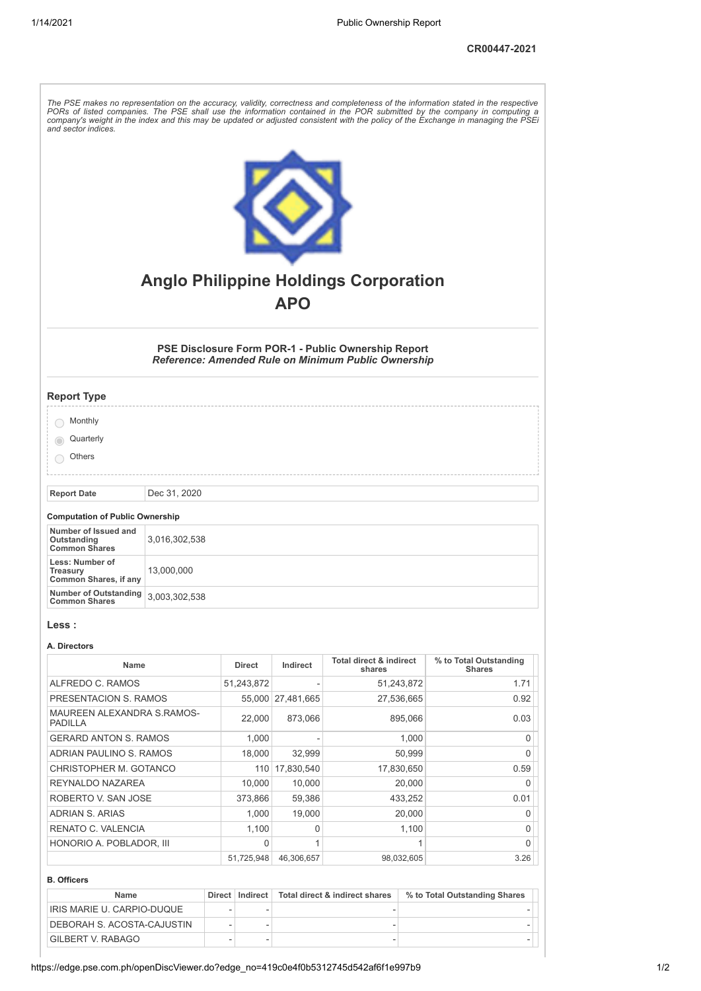| and sector indices.                                                   |               |                |                |                                                                                                                   | The PSE makes no representation on the accuracy, validity, correctness and completeness of the information stated in the respective<br>PORs of listed companies. The PSE shall use the information contained in the POR submitted by the company in computing a<br>company's weight in the index and this may be updated or adjusted consistent with the policy of the Exchange in managing the PSEi |
|-----------------------------------------------------------------------|---------------|----------------|----------------|-------------------------------------------------------------------------------------------------------------------|------------------------------------------------------------------------------------------------------------------------------------------------------------------------------------------------------------------------------------------------------------------------------------------------------------------------------------------------------------------------------------------------------|
|                                                                       |               |                | <b>APO</b>     | <b>Anglo Philippine Holdings Corporation</b>                                                                      |                                                                                                                                                                                                                                                                                                                                                                                                      |
|                                                                       |               |                |                | PSE Disclosure Form POR-1 - Public Ownership Report<br><b>Reference: Amended Rule on Minimum Public Ownership</b> |                                                                                                                                                                                                                                                                                                                                                                                                      |
| <b>Report Type</b>                                                    |               |                |                |                                                                                                                   |                                                                                                                                                                                                                                                                                                                                                                                                      |
| Monthly                                                               |               |                |                |                                                                                                                   |                                                                                                                                                                                                                                                                                                                                                                                                      |
| Quarterly                                                             |               |                |                |                                                                                                                   |                                                                                                                                                                                                                                                                                                                                                                                                      |
| Others                                                                |               |                |                |                                                                                                                   |                                                                                                                                                                                                                                                                                                                                                                                                      |
| <b>Report Date</b>                                                    | Dec 31, 2020  |                |                |                                                                                                                   |                                                                                                                                                                                                                                                                                                                                                                                                      |
|                                                                       |               |                |                |                                                                                                                   |                                                                                                                                                                                                                                                                                                                                                                                                      |
| <b>Computation of Public Ownership</b>                                |               |                |                |                                                                                                                   |                                                                                                                                                                                                                                                                                                                                                                                                      |
| Number of Issued and<br>Outstanding<br><b>Common Shares</b>           | 3,016,302,538 |                |                |                                                                                                                   |                                                                                                                                                                                                                                                                                                                                                                                                      |
| Less: Number of<br>13,000,000<br>Treasury<br>Common Shares, if any    |               |                |                |                                                                                                                   |                                                                                                                                                                                                                                                                                                                                                                                                      |
| <b>Number of Outstanding</b><br>3,003,302,538<br><b>Common Shares</b> |               |                |                |                                                                                                                   |                                                                                                                                                                                                                                                                                                                                                                                                      |
| Less :                                                                |               |                |                |                                                                                                                   |                                                                                                                                                                                                                                                                                                                                                                                                      |
| A. Directors                                                          |               |                |                | <b>Total direct &amp; indirect</b>                                                                                | % to Total Outstanding                                                                                                                                                                                                                                                                                                                                                                               |
| Name                                                                  |               | <b>Direct</b>  | Indirect       | shares                                                                                                            | <b>Shares</b>                                                                                                                                                                                                                                                                                                                                                                                        |
| ALFREDO C. RAMOS                                                      |               | 51,243,872     |                | 51,243,872                                                                                                        | 1.71                                                                                                                                                                                                                                                                                                                                                                                                 |
| PRESENTACION S. RAMOS                                                 |               | 55,000         | 27,481,665     | 27,536,665                                                                                                        | 0.92                                                                                                                                                                                                                                                                                                                                                                                                 |
| MAUREEN ALEXANDRA S.RAMOS-<br><b>PADILLA</b>                          |               | 22,000         | 873,066        | 895,066                                                                                                           | 0.03                                                                                                                                                                                                                                                                                                                                                                                                 |
| <b>GERARD ANTON S. RAMOS</b>                                          |               | 1,000          |                | 1,000                                                                                                             | $\mathbf 0$                                                                                                                                                                                                                                                                                                                                                                                          |
| ADRIAN PAULINO S. RAMOS                                               |               | 18,000         | 32,999         | 50,999                                                                                                            | 0                                                                                                                                                                                                                                                                                                                                                                                                    |
| CHRISTOPHER M. GOTANCO                                                |               |                | 110 17,830,540 | 17,830,650                                                                                                        | 0.59                                                                                                                                                                                                                                                                                                                                                                                                 |
| REYNALDO NAZAREA                                                      |               | 10,000         | 10,000         | 20,000                                                                                                            | 0                                                                                                                                                                                                                                                                                                                                                                                                    |
| ROBERTO V. SAN JOSE                                                   |               | 373,866        | 59,386         | 433,252                                                                                                           | 0.01                                                                                                                                                                                                                                                                                                                                                                                                 |
| ADRIAN S. ARIAS<br>RENATO C. VALENCIA                                 |               | 1,000<br>1,100 | 19,000<br>0    | 20,000<br>1,100                                                                                                   | 0<br>$\overline{0}$                                                                                                                                                                                                                                                                                                                                                                                  |
|                                                                       |               |                |                |                                                                                                                   |                                                                                                                                                                                                                                                                                                                                                                                                      |

## **B. Officers**

| Name                       |  | Direct   Indirect   Total direct & indirect shares | % to Total Outstanding Shares |  |
|----------------------------|--|----------------------------------------------------|-------------------------------|--|
| IRIS MARIE U. CARPIO-DUQUE |  |                                                    |                               |  |
| DEBORAH S. ACOSTA-CAJUSTIN |  |                                                    |                               |  |
| <b>GILBERT V. RABAGO</b>   |  |                                                    |                               |  |

HONORIO A. POBLADOR, III 0 1 1 0

51,725,948 46,306,657 98,032,605 3.26